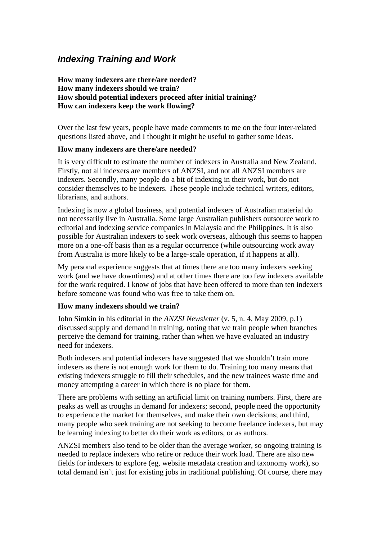# *Indexing Training and Work*

**How many indexers are there/are needed? How many indexers should we train? How should potential indexers proceed after initial training? How can indexers keep the work flowing?** 

Over the last few years, people have made comments to me on the four inter-related questions listed above, and I thought it might be useful to gather some ideas.

#### **How many indexers are there/are needed?**

It is very difficult to estimate the number of indexers in Australia and New Zealand. Firstly, not all indexers are members of ANZSI, and not all ANZSI members are indexers. Secondly, many people do a bit of indexing in their work, but do not consider themselves to be indexers. These people include technical writers, editors, librarians, and authors.

Indexing is now a global business, and potential indexers of Australian material do not necessarily live in Australia. Some large Australian publishers outsource work to editorial and indexing service companies in Malaysia and the Philippines. It is also possible for Australian indexers to seek work overseas, although this seems to happen more on a one-off basis than as a regular occurrence (while outsourcing work away from Australia is more likely to be a large-scale operation, if it happens at all).

My personal experience suggests that at times there are too many indexers seeking work (and we have downtimes) and at other times there are too few indexers available for the work required. I know of jobs that have been offered to more than ten indexers before someone was found who was free to take them on.

## **How many indexers should we train?**

John Simkin in his editorial in the *ANZSI Newsletter* (v. 5, n. 4, May 2009, p.1) discussed supply and demand in training, noting that we train people when branches perceive the demand for training, rather than when we have evaluated an industry need for indexers.

Both indexers and potential indexers have suggested that we shouldn't train more indexers as there is not enough work for them to do. Training too many means that existing indexers struggle to fill their schedules, and the new trainees waste time and money attempting a career in which there is no place for them.

There are problems with setting an artificial limit on training numbers. First, there are peaks as well as troughs in demand for indexers; second, people need the opportunity to experience the market for themselves, and make their own decisions; and third, many people who seek training are not seeking to become freelance indexers, but may be learning indexing to better do their work as editors, or as authors.

ANZSI members also tend to be older than the average worker, so ongoing training is needed to replace indexers who retire or reduce their work load. There are also new fields for indexers to explore (eg, website metadata creation and taxonomy work), so total demand isn't just for existing jobs in traditional publishing. Of course, there may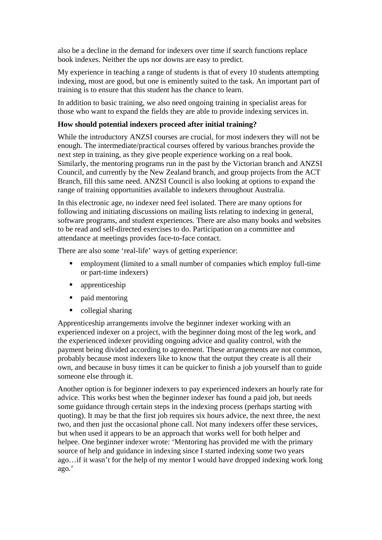also be a decline in the demand for indexers over time if search functions replace book indexes. Neither the ups nor downs are easy to predict.

My experience in teaching a range of students is that of every 10 students attempting indexing, most are good, but one is eminently suited to the task. An important part of training is to ensure that this student has the chance to learn.

In addition to basic training, we also need ongoing training in specialist areas for those who want to expand the fields they are able to provide indexing services in.

## **How should potential indexers proceed after initial training?**

While the introductory ANZSI courses are crucial, for most indexers they will not be enough. The intermediate/practical courses offered by various branches provide the next step in training, as they give people experience working on a real book. Similarly, the mentoring programs run in the past by the Victorian branch and ANZSI Council, and currently by the New Zealand branch, and group projects from the ACT Branch, fill this same need. ANZSI Council is also looking at options to expand the range of training opportunities available to indexers throughout Australia.

In this electronic age, no indexer need feel isolated. There are many options for following and initiating discussions on mailing lists relating to indexing in general, software programs, and student experiences. There are also many books and websites to be read and self-directed exercises to do. Participation on a committee and attendance at meetings provides face-to-face contact.

There are also some 'real-life' ways of getting experience:

- employment (limited to a small number of companies which employ full-time or part-time indexers)
- **apprenticeship**
- paid mentoring
- collegial sharing

Apprenticeship arrangements involve the beginner indexer working with an experienced indexer on a project, with the beginner doing most of the leg work, and the experienced indexer providing ongoing advice and quality control, with the payment being divided according to agreement. These arrangements are not common, probably because most indexers like to know that the output they create is all their own, and because in busy times it can be quicker to finish a job yourself than to guide someone else through it.

Another option is for beginner indexers to pay experienced indexers an hourly rate for advice. This works best when the beginner indexer has found a paid job, but needs some guidance through certain steps in the indexing process (perhaps starting with quoting). It may be that the first job requires six hours advice, the next three, the next two, and then just the occasional phone call. Not many indexers offer these services, but when used it appears to be an approach that works well for both helper and helpee. One beginner indexer wrote: 'Mentoring has provided me with the primary source of help and guidance in indexing since I started indexing some two years ago…if it wasn't for the help of my mentor I would have dropped indexing work long ago.'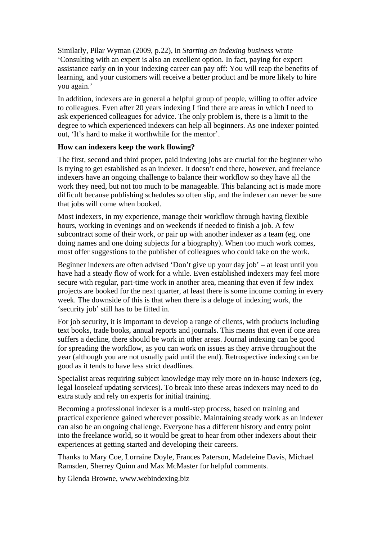Similarly, Pilar Wyman (2009, p.22), in *Starting an indexing business* wrote 'Consulting with an expert is also an excellent option. In fact, paying for expert assistance early on in your indexing career can pay off: You will reap the benefits of learning, and your customers will receive a better product and be more likely to hire you again.'

In addition, indexers are in general a helpful group of people, willing to offer advice to colleagues. Even after 20 years indexing I find there are areas in which I need to ask experienced colleagues for advice. The only problem is, there is a limit to the degree to which experienced indexers can help all beginners. As one indexer pointed out, 'It's hard to make it worthwhile for the mentor'.

## **How can indexers keep the work flowing?**

The first, second and third proper, paid indexing jobs are crucial for the beginner who is trying to get established as an indexer. It doesn't end there, however, and freelance indexers have an ongoing challenge to balance their workflow so they have all the work they need, but not too much to be manageable. This balancing act is made more difficult because publishing schedules so often slip, and the indexer can never be sure that jobs will come when booked.

Most indexers, in my experience, manage their workflow through having flexible hours, working in evenings and on weekends if needed to finish a job. A few subcontract some of their work, or pair up with another indexer as a team (eg, one doing names and one doing subjects for a biography). When too much work comes, most offer suggestions to the publisher of colleagues who could take on the work.

Beginner indexers are often advised 'Don't give up your day job' – at least until you have had a steady flow of work for a while. Even established indexers may feel more secure with regular, part-time work in another area, meaning that even if few index projects are booked for the next quarter, at least there is some income coming in every week. The downside of this is that when there is a deluge of indexing work, the 'security job' still has to be fitted in.

For job security, it is important to develop a range of clients, with products including text books, trade books, annual reports and journals. This means that even if one area suffers a decline, there should be work in other areas. Journal indexing can be good for spreading the workflow, as you can work on issues as they arrive throughout the year (although you are not usually paid until the end). Retrospective indexing can be good as it tends to have less strict deadlines.

Specialist areas requiring subject knowledge may rely more on in-house indexers (eg, legal looseleaf updating services). To break into these areas indexers may need to do extra study and rely on experts for initial training.

Becoming a professional indexer is a multi-step process, based on training and practical experience gained wherever possible. Maintaining steady work as an indexer can also be an ongoing challenge. Everyone has a different history and entry point into the freelance world, so it would be great to hear from other indexers about their experiences at getting started and developing their careers.

Thanks to Mary Coe, Lorraine Doyle, Frances Paterson, Madeleine Davis, Michael Ramsden, Sherrey Quinn and Max McMaster for helpful comments.

by Glenda Browne, www.webindexing.biz